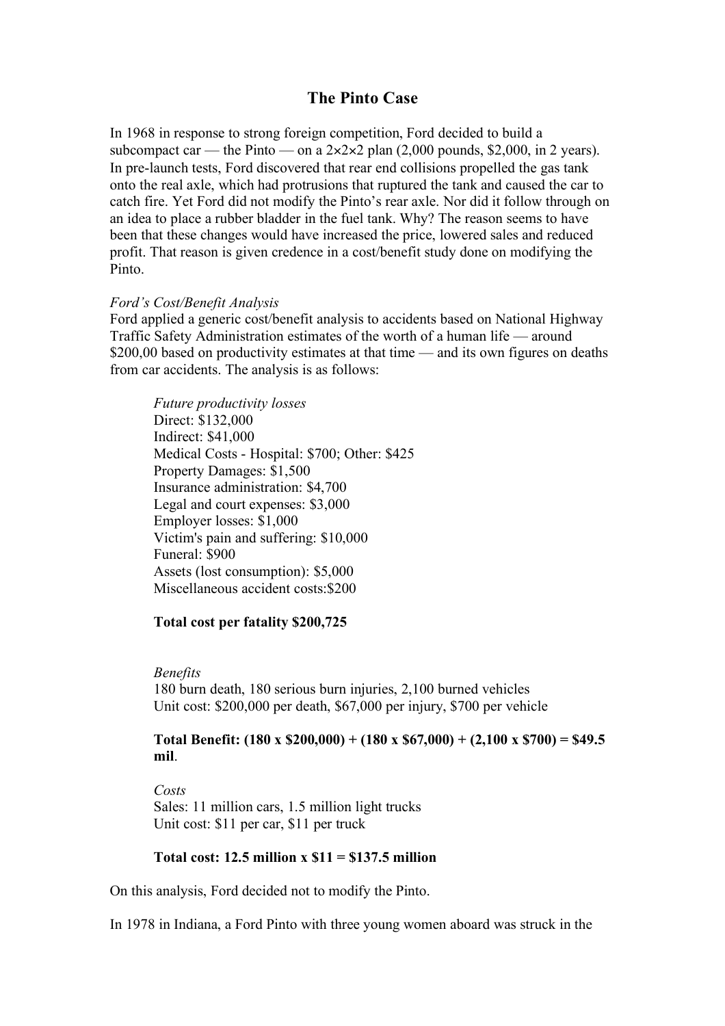# **The Pinto Case**

In 1968 in response to strong foreign competition, Ford decided to build a subcompact car — the Pinto — on a  $2 \times 2 \times 2$  plan (2,000 pounds, \$2,000, in 2 years). In pre-launch tests, Ford discovered that rear end collisions propelled the gas tank onto the real axle, which had protrusions that ruptured the tank and caused the car to catch fire. Yet Ford did not modify the Pinto's rear axle. Nor did it follow through on an idea to place a rubber bladder in the fuel tank. Why? The reason seems to have been that these changes would have increased the price, lowered sales and reduced profit. That reason is given credence in a cost/benefit study done on modifying the Pinto.

### *Ford's Cost/Benefit Analysis*

Ford applied a generic cost/benefit analysis to accidents based on National Highway Traffic Safety Administration estimates of the worth of a human life — around \$200,00 based on productivity estimates at that time — and its own figures on deaths from car accidents. The analysis is as follows:

*Future productivity losses* Direct: \$132,000 Indirect: \$41,000 Medical Costs - Hospital: \$700; Other: \$425 Property Damages: \$1,500 Insurance administration: \$4,700 Legal and court expenses: \$3,000 Employer losses: \$1,000 Victim's pain and suffering: \$10,000 Funeral: \$900 Assets (lost consumption): \$5,000 Miscellaneous accident costs:\$200

### **Total cost per fatality \$200,725**

*Benefits*

180 burn death, 180 serious burn injuries, 2,100 burned vehicles Unit cost: \$200,000 per death, \$67,000 per injury, \$700 per vehicle

## **Total Benefit: (180 x \$200,000) + (180 x \$67,000) + (2,100 x \$700) = \$49.5 mil**.

*Costs* Sales: 11 million cars, 1.5 million light trucks Unit cost: \$11 per car, \$11 per truck

### **Total cost: 12.5 million x \$11 = \$137.5 million**

On this analysis, Ford decided not to modify the Pinto.

In 1978 in Indiana, a Ford Pinto with three young women aboard was struck in the